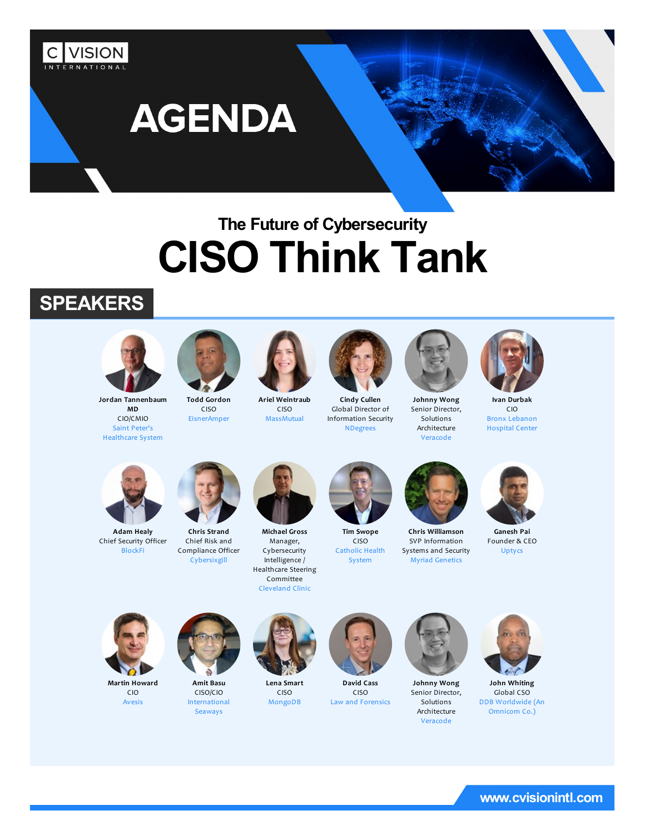

# **The Future of Cybersecurity CISO Think Tank**

# **SPEAKERS**



**Jordan Tannenbaum MD** CIO/CMIO Saint Peter's Healthcare System



CISO

Cybersixgill

**Todd Gordon** EisnerAmper



**Ariel Weintraub** CISO **MassMutual** 



**Cindy Cullen** Global Director of Information Security NDegrees



**Johnny Wong** Senior Director, Solutions Architecture Veracode



**Ivan Durbak** CIO Bronx Lebanon Hospital Center



**Adam Healy** Chief Security Officer BlockFi



**Chris Strand** Chief Risk and Compliance Officer **Michael Gross** Manager, Cybersecurity Intelligence / Healthcare Steering Committee



**Tim Swope** CISO Catholic Health System



**Chris Williamson** SVP Information Systems and Security Myriad Genetics



**Ganesh Pai** Founder & CEO Uptycs



**Martin Howard** CIO Avesis



**Amit Basu** CISO/CIO International Seaways



Cleveland Clinic

**Lena Smart** CISO MongoDB



**David Cass** CISO Law and Forensics



**Johnny Wong** Senior Director, Solutions Architecture Veracode



**John Whiting** Global CSO DDB Worldwide (An Omnicom Co.)

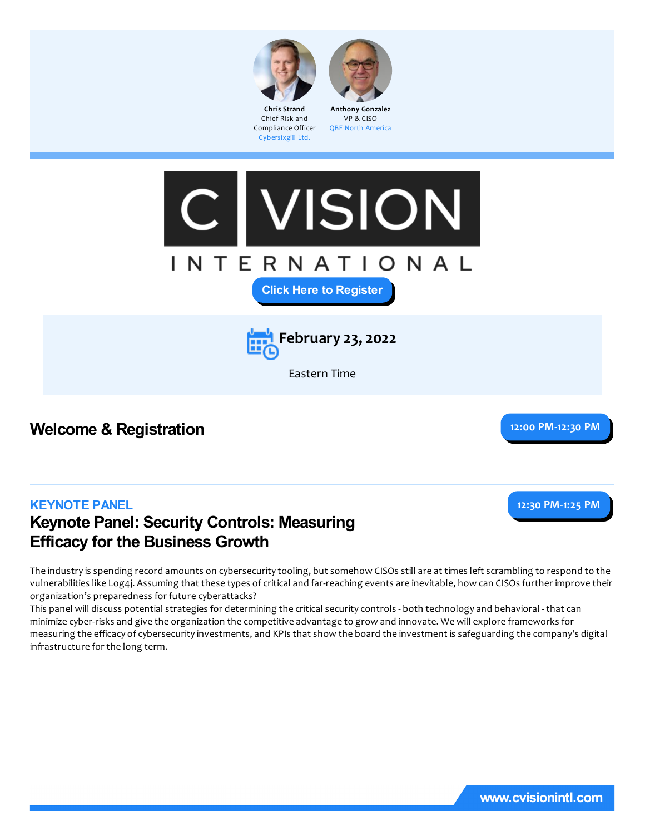



Chief Risk and Compliance Officer Cybersixgill Ltd. VP & CISO QBE North America





Eastern Time

## **Welcome & Registration 12:00 PM-12:30 PM**

**12:30 PM-1:25 PM**

#### **KEYNOTE PANEL**

## **Keynote Panel: Security Controls: Measuring Efficacy for the Business Growth**

The industryis spending record amounts on cybersecuritytooling, but somehow CISOs stillare at times left scrambling to respond to the vulnerabilities like Log4j. Assuming that these types of critical and far-reaching events are inevitable, how can CISOs further improve their organization's preparedness for future cyberattacks?

This panel will discuss potential strategies for determining the critical security controls - both technology and behavioral - that can minimize cyber-risksand give the organization the competitive advantage to grow and innovate. We will explore frameworks for measuring the efficacy of cybersecurity investments, and KPIs that show the board the investment is safeguarding the company's digital infrastructure for the long term.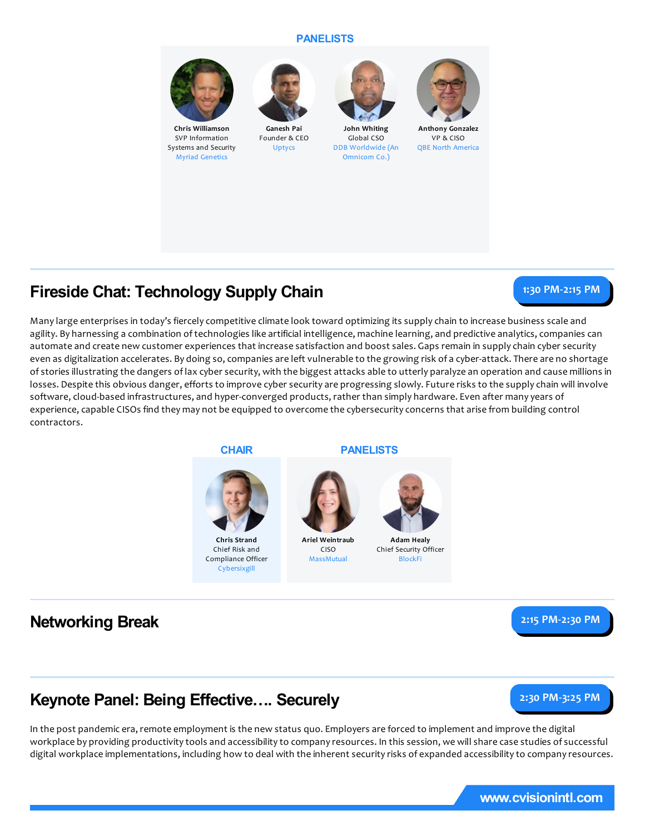#### **PANELISTS**



**Chris Williamson** SVP Information Systems and Security Myriad Genetics



**Ganesh Pai** Founder & CEO Uptycs



**John Whiting** Global CSO DDB Worldwide (An Omnicom Co.)



**Anthony Gonzalez** VP & CISO QBE North America

## **Fireside Chat: Technology Supply Chain**

#### **1:30 PM-2:15 PM**

Many large enterprises in today's fiercely competitive climate look toward optimizing its supply chain to increase business scale and agility. By harnessing a combination of technologies like artificial intelligence, machine learning, and predictive analytics, companies can automate and create new customer experiences that increase satisfaction and boost sales. Gaps remain in supplychain cyber security even as digitalization accelerates. By doing so, companies are left vulnerable to the growing risk of a cyber-attack. There are no shortage of stories illustrating the dangers of lax cyber security, with the biggest attacks able to utterly paralyze an operation and cause millions in losses. Despite this obvious danger, efforts to improve cyber security are progressing slowly. Future risks to the supply chain will involve software, cloud-based infrastructures, and hyper-converged products, rather than simply hardware. Even after many years of experience, capable CISOs find they may not be equipped to overcome the cybersecurity concerns that arise from building control contractors.

> **Ariel Weintraub** CISO MassMutual



**Chris Strand** Chief Risk and Compliance Officer Cybersixgill





**Adam Healy** Chief Security Officer BlockFi

**Networking Break 2:15 PM-2:30 PM**



## **Keynote Panel: Being Effective…. Securely**

**2:30 PM-3:25 PM**

In the post pandemic era, remote employment is the new status quo. Employers are forced to implement and improve the digital workplace by providing productivity tools and accessibility to company resources. In this session, we will share case studies of successful digital workplace implementations, including how to deal with the inherent security risks of expanded accessibility to company resources.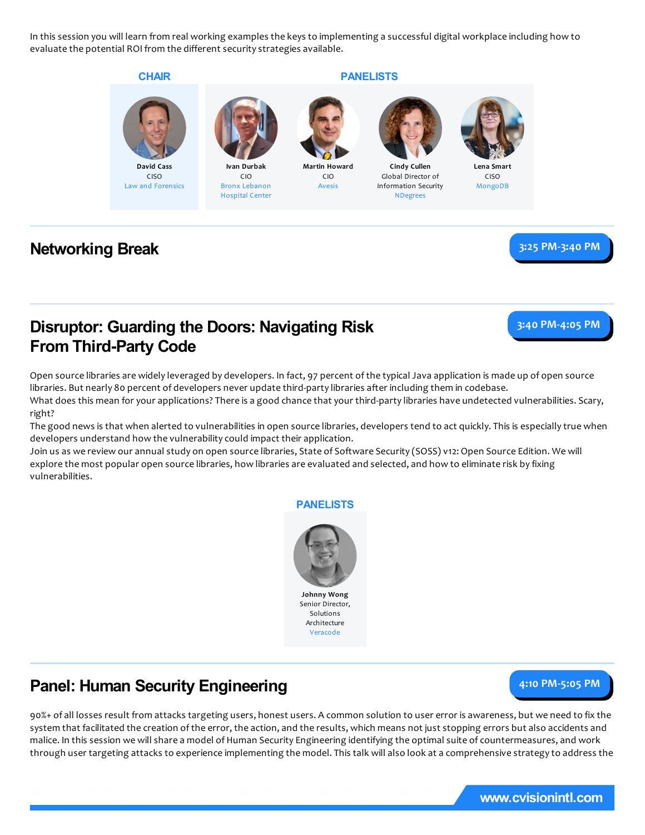In this session you will learn from real working examples the keys to implementing asuccessful digital workplace including how to evaluate the potential ROI from the different security strategies available.

> **Martin Howard** CIO Avesis

#### **CHAIR**





CIO Bronx Lebanon Hospital Center

#### **PANELISTS**



**Cindy Cullen** Global Director of Information Security NDegrees



**Lena Smart** CISO MongoDB

### **Networking Break 3:25 PM-3:40 PM**

## **Disruptor: Guarding the Doors: Navigating Risk From Third-Party Code**

**3:40 PM-4:05 PM**

Open source libraries are widely leveraged by developers. In fact, 97 percent of the typical Java application is made up of open source libraries. But nearly 80 percent of developers never update third-party libraries after including them in codebase. What does this mean for your applications? There is a good chance that your third-party libraries have undetected vulnerabilities. Scary, right?

The good news is that when alerted to vulnerabilities in open source libraries, developers tend to act quickly. This is especiallytrue when developers understand how the vulnerability could impact their application.

Join us as we review our annual study on open source libraries, State of Software Security (SOSS) v12: Open Source Edition. We will explore the most popular open source libraries, how libraries are evaluated and selected, and how to eliminate risk by fixing vulnerabilities.

#### **PANELISTS**



# **Panel: Human Security Engineering**

**4:10 PM-5:05 PM**

90%+ ofall losses result from attacks targeting users, honest users. A common solution to user error isawareness, but we need to fix the system that facilitated the creation of the error, the action, and the results, which means not just stopping errors but also accidents and malice. In this session we will share a model of Human Security Engineering identifying the optimal suite of countermeasures, and work through user targeting attacks to experience implementing the model. This talk will also look at a comprehensive strategy to address the